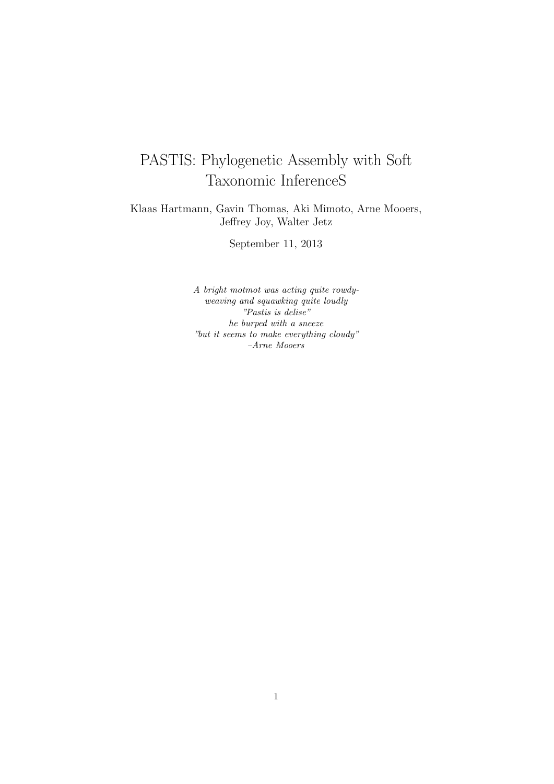# PASTIS: Phylogenetic Assembly with Soft Taxonomic InferenceS

Klaas Hartmann, Gavin Thomas, Aki Mimoto, Arne Mooers, Jeffrey Joy, Walter Jetz

September 11, 2013

A bright motmot was acting quite rowdyweaving and squawking quite loudly "Pastis is delise" he burped with a sneeze "but it seems to make everything cloudy" –Arne Mooers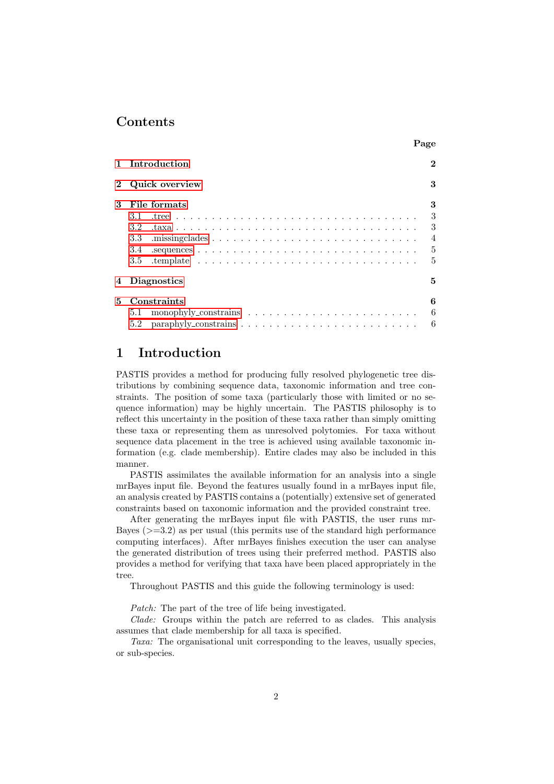### Contents

|    | 1 Introduction   | $\bf{2}$       |
|----|------------------|----------------|
|    | 2 Quick overview | 3              |
| 3  | File formats     | 3              |
|    | 3.1              | 3              |
|    | 3.2              | 3              |
|    | 3.3              | $\overline{4}$ |
|    | 3.4              | - 5            |
|    | 3.5              | 5              |
|    | 4 Diagnostics    | 5              |
| 5. | Constraints      | 6              |
|    | 5.1              | -6             |
|    |                  | -6             |

Page

# <span id="page-1-0"></span>1 Introduction

PASTIS provides a method for producing fully resolved phylogenetic tree distributions by combining sequence data, taxonomic information and tree constraints. The position of some taxa (particularly those with limited or no sequence information) may be highly uncertain. The PASTIS philosophy is to reflect this uncertainty in the position of these taxa rather than simply omitting these taxa or representing them as unresolved polytomies. For taxa without sequence data placement in the tree is achieved using available taxonomic information (e.g. clade membership). Entire clades may also be included in this manner.

PASTIS assimilates the available information for an analysis into a single mrBayes input file. Beyond the features usually found in a mrBayes input file, an analysis created by PASTIS contains a (potentially) extensive set of generated constraints based on taxonomic information and the provided constraint tree.

After generating the mrBayes input file with PASTIS, the user runs mr-Bayes ( $>=$  3.2) as per usual (this permits use of the standard high performance computing interfaces). After mrBayes finishes execution the user can analyse the generated distribution of trees using their preferred method. PASTIS also provides a method for verifying that taxa have been placed appropriately in the tree.

Throughout PASTIS and this guide the following terminology is used:

Patch: The part of the tree of life being investigated.

Clade: Groups within the patch are referred to as clades. This analysis assumes that clade membership for all taxa is specified.

Taxa: The organisational unit corresponding to the leaves, usually species, or sub-species.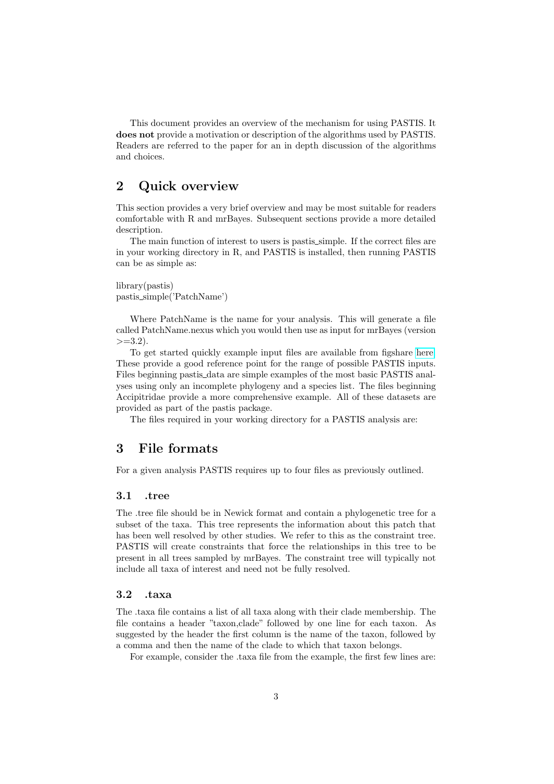This document provides an overview of the mechanism for using PASTIS. It does not provide a motivation or description of the algorithms used by PASTIS. Readers are referred to the paper for an in depth discussion of the algorithms and choices.

### <span id="page-2-0"></span>2 Quick overview

This section provides a very brief overview and may be most suitable for readers comfortable with R and mrBayes. Subsequent sections provide a more detailed description.

The main function of interest to users is pastis simple. If the correct files are in your working directory in R, and PASTIS is installed, then running PASTIS can be as simple as:

library(pastis) pastis simple('PatchName')

Where PatchName is the name for your analysis. This will generate a file called PatchName.nexus which you would then use as input for mrBayes (version  $>=3.2$ ).

To get started quickly example input files are available from figshare [here.](http://dx.doi.org/10.6084/m9.figshare.692180) These provide a good reference point for the range of possible PASTIS inputs. Files beginning pastis data are simple examples of the most basic PASTIS analyses using only an incomplete phylogeny and a species list. The files beginning Accipitridae provide a more comprehensive example. All of these datasets are provided as part of the pastis package.

The files required in your working directory for a PASTIS analysis are:

### <span id="page-2-1"></span>3 File formats

For a given analysis PASTIS requires up to four files as previously outlined.

#### <span id="page-2-2"></span>3.1 .tree

The .tree file should be in Newick format and contain a phylogenetic tree for a subset of the taxa. This tree represents the information about this patch that has been well resolved by other studies. We refer to this as the constraint tree. PASTIS will create constraints that force the relationships in this tree to be present in all trees sampled by mrBayes. The constraint tree will typically not include all taxa of interest and need not be fully resolved.

#### <span id="page-2-3"></span>3.2 .taxa

The .taxa file contains a list of all taxa along with their clade membership. The file contains a header "taxon,clade" followed by one line for each taxon. As suggested by the header the first column is the name of the taxon, followed by a comma and then the name of the clade to which that taxon belongs.

For example, consider the .taxa file from the example, the first few lines are: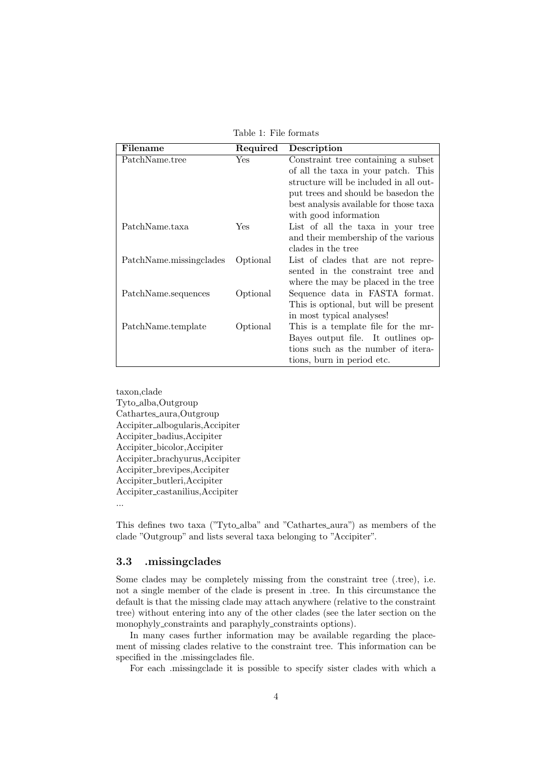| Filename                | Required   | Description                            |
|-------------------------|------------|----------------------------------------|
| PatchName.tree          | Yes        | Constraint tree containing a subset    |
|                         |            | of all the taxa in your patch. This    |
|                         |            | structure will be included in all out- |
|                         |            | put trees and should be based on the   |
|                         |            | best analysis available for those taxa |
|                         |            | with good information                  |
| PatchName.taxa          | <b>Yes</b> | List of all the taxa in your tree      |
|                         |            | and their membership of the various    |
|                         |            | clades in the tree                     |
| PatchName.missingclades | Optional   | List of clades that are not repre-     |
|                         |            | sented in the constraint tree and      |
|                         |            | where the may be placed in the tree    |
| PatchName.sequences     | Optional   | Sequence data in FASTA format.         |
|                         |            | This is optional, but will be present  |
|                         |            | in most typical analyses!              |
| PatchName.template      | Optional   | This is a template file for the mr-    |
|                         |            | Bayes output file. It outlines op-     |
|                         |            | tions such as the number of itera-     |
|                         |            | tions, burn in period etc.             |

Table 1: File formats

taxon,clade Tyto alba,Outgroup Cathartes aura,Outgroup Accipiter albogularis,Accipiter Accipiter badius,Accipiter Accipiter bicolor,Accipiter Accipiter brachyurus,Accipiter Accipiter brevipes,Accipiter Accipiter butleri,Accipiter Accipiter castanilius,Accipiter ...

This defines two taxa ("Tyto alba" and "Cathartes aura") as members of the clade "Outgroup" and lists several taxa belonging to "Accipiter".

#### <span id="page-3-0"></span>3.3 .missingclades

Some clades may be completely missing from the constraint tree (.tree), i.e. not a single member of the clade is present in .tree. In this circumstance the default is that the missing clade may attach anywhere (relative to the constraint tree) without entering into any of the other clades (see the later section on the monophyly\_constraints and paraphyly\_constraints options).

In many cases further information may be available regarding the placement of missing clades relative to the constraint tree. This information can be specified in the .missingclades file.

For each .missingclade it is possible to specify sister clades with which a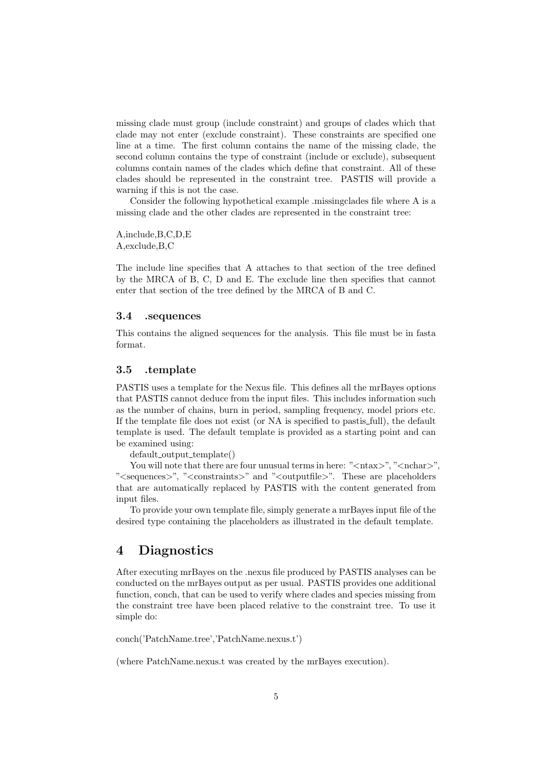missing clade must group (include constraint) and groups of clades which that clade may not enter (exclude constraint). These constraints are specified one line at a time. The first column contains the name of the missing clade, the second column contains the type of constraint (include or exclude), subsequent columns contain names of the clades which define that constraint. All of these clades should be represented in the constraint tree. PASTIS will provide a warning if this is not the case.

Consider the following hypothetical example .missingclades file where A is a missing clade and the other clades are represented in the constraint tree:

A,include,B,C,D,E A,exclude,B,C

The include line specifies that A attaches to that section of the tree defined by the MRCA of B, C, D and E. The exclude line then specifies that cannot enter that section of the tree defined by the MRCA of B and C.

#### <span id="page-4-0"></span>3.4 .sequences

This contains the aligned sequences for the analysis. This file must be in fasta format.

#### <span id="page-4-1"></span>3.5 .template

PASTIS uses a template for the Nexus file. This defines all the mrBayes options that PASTIS cannot deduce from the input files. This includes information such as the number of chains, burn in period, sampling frequency, model priors etc. If the template file does not exist (or NA is specified to pastis full), the default template is used. The default template is provided as a starting point and can be examined using:

default\_output\_template()

You will note that there are four unusual terms in here: " $\langle \text{ntax} \rangle$ ", " $\langle \text{nchar} \rangle$ ". "<sequences>", "<constraints>" and "<outputfile>". These are placeholders that are automatically replaced by PASTIS with the content generated from input files.

To provide your own template file, simply generate a mrBayes input file of the desired type containing the placeholders as illustrated in the default template.

### <span id="page-4-2"></span>4 Diagnostics

After executing mrBayes on the .nexus file produced by PASTIS analyses can be conducted on the mrBayes output as per usual. PASTIS provides one additional function, conch, that can be used to verify where clades and species missing from the constraint tree have been placed relative to the constraint tree. To use it simple do:

conch('PatchName.tree','PatchName.nexus.t')

(where PatchName.nexus.t was created by the mrBayes execution).